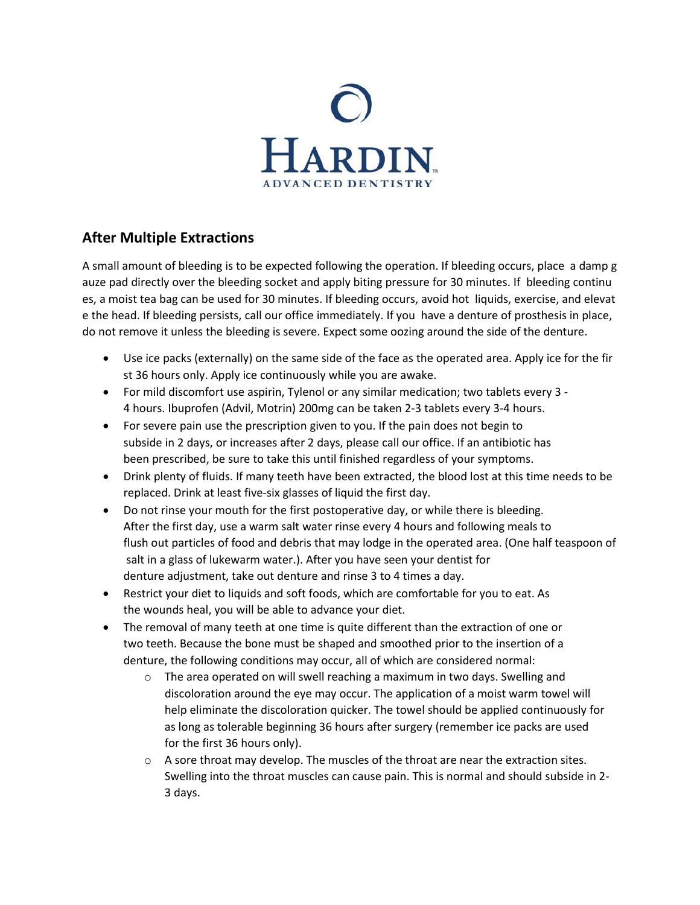

# **After Multiple Extractions**

A small amount of bleeding is to be expected following the operation. If bleeding occurs, place a damp g auze pad directly over the bleeding socket and apply biting pressure for 30 minutes. If bleeding continu es, a moist tea bag can be used for 30 minutes. If bleeding occurs, avoid hot liquids, exercise, and elevat e the head. If bleeding persists, call our office immediately. If you have a denture of prosthesis in place, do not remove it unless the bleeding is severe. Expect some oozing around the side of the denture.

- Use ice packs (externally) on the same side of the face as the operated area. Apply ice for the fir st 36 hours only. Apply ice continuously while you are awake.
- For mild discomfort use aspirin, Tylenol or any similar medication; two tablets every 3 4 hours. Ibuprofen (Advil, Motrin) 200mg can be taken 2‐3 tablets every 3‐4 hours.
- For severe pain use the prescription given to you. If the pain does not begin to subside in 2 days, or increases after 2 days, please call our office. If an antibiotic has been prescribed, be sure to take this until finished regardless of your symptoms.
- Drink plenty of fluids. If many teeth have been extracted, the blood lost at this time needs to be replaced. Drink at least five‐six glasses of liquid the first day.
- Do not rinse your mouth for the first postoperative day, or while there is bleeding. After the first day, use a warm salt water rinse every 4 hours and following meals to flush out particles of food and debris that may lodge in the operated area. (One half teaspoon of salt in a glass of lukewarm water.). After you have seen your dentist for denture adjustment, take out denture and rinse 3 to 4 times a day.
- Restrict your diet to liquids and soft foods, which are comfortable for you to eat. As the wounds heal, you will be able to advance your diet.
- The removal of many teeth at one time is quite different than the extraction of one or two teeth. Because the bone must be shaped and smoothed prior to the insertion of a denture, the following conditions may occur, all of which are considered normal:
	- $\circ$  The area operated on will swell reaching a maximum in two days. Swelling and discoloration around the eye may occur. The application of a moist warm towel will help eliminate the discoloration quicker. The towel should be applied continuously for as long as tolerable beginning 36 hours after surgery (remember ice packs are used for the first 36 hours only).
	- $\circ$  A sore throat may develop. The muscles of the throat are near the extraction sites. Swelling into the throat muscles can cause pain. This is normal and should subside in 2‐ 3 days.